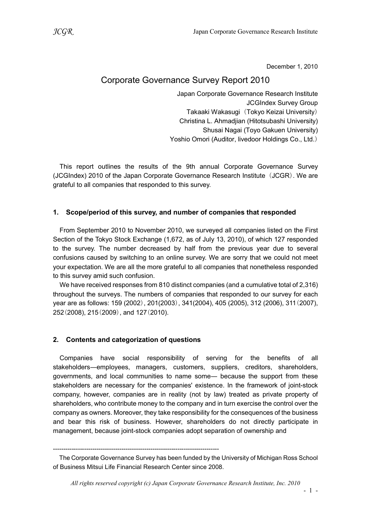December 1, 2010

# Corporate Governance Survey Report 2010

Japan Corporate Governance Research Institute JCGIndex Survey Group Takaaki Wakasugi (Tokyo Keizai University) Christina L. Ahmadjian (Hitotsubashi University) Shusai Nagai (Toyo Gakuen University) Yoshio Omori (Auditor, livedoor Holdings Co., Ltd.)

This report outlines the results of the 9th annual Corporate Governance Survey (JCGIndex) 2010 of the Japan Corporate Governance Research Institute (JCGR). We are grateful to all companies that responded to this survey.

# 1. Scope/period of this survey, and number of companies that responded

From September 2010 to November 2010, we surveyed all companies listed on the First Section of the Tokyo Stock Exchange (1,672, as of July 13, 2010), of which 127 responded to the survey. The number decreased by half from the previous year due to several confusions caused by switching to an online survey. We are sorry that we could not meet your expectation. We are all the more grateful to all companies that nonetheless responded to this survey amid such confusion.

We have received responses from 810 distinct companies (and a cumulative total of 2,316) throughout the surveys. The numbers of companies that responded to our survey for each year are as follows: 159 (2002), 201(2003), 341(2004), 405 (2005), 312 (2006), 311(2007), 252(2008), 215(2009), and 127(2010).

# 2. Contents and categorization of questions

Companies have social responsibility of serving for the benefits of all stakeholders―employees, managers, customers, suppliers, creditors, shareholders, governments, and local communities to name some― because the support from these stakeholders are necessary for the companies' existence. In the framework of joint-stock company, however, companies are in reality (not by law) treated as private property of shareholders, who contribute money to the company and in turn exercise the control over the company as owners. Moreover, they take responsibility for the consequences of the business and bear this risk of business. However, shareholders do not directly participate in management, because joint-stock companies adopt separation of ownership and

<sup>--------------------------------------------------------------------------------</sup> 

The Corporate Governance Survey has been funded by the University of Michigan Ross School of Business Mitsui Life Financial Research Center since 2008.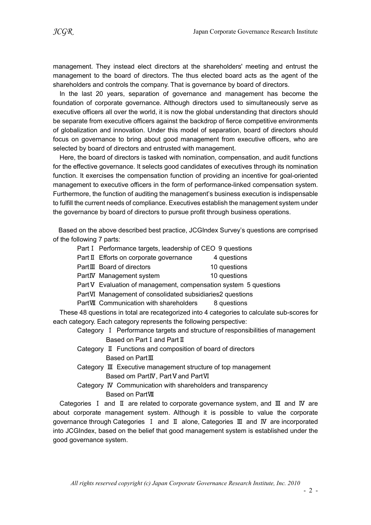management. They instead elect directors at the shareholders' meeting and entrust the management to the board of directors. The thus elected board acts as the agent of the shareholders and controls the company. That is governance by board of directors.

In the last 20 years, separation of governance and management has become the foundation of corporate governance. Although directors used to simultaneously serve as executive officers all over the world, it is now the global understanding that directors should be separate from executive officers against the backdrop of fierce competitive environments of globalization and innovation. Under this model of separation, board of directors should focus on governance to bring about good management from executive officers, who are selected by board of directors and entrusted with management.

Here, the board of directors is tasked with nomination, compensation, and audit functions for the effective governance. It selects good candidates of executives through its nomination function. It exercises the compensation function of providing an incentive for goal-oriented management to executive officers in the form of performance-linked compensation system. Furthermore, the function of auditing the management's business execution is indispensable to fulfill the current needs of compliance. Executives establish the management system under the governance by board of directors to pursue profit through business operations.

Based on the above described best practice, JCGIndex Survey's questions are comprised of the following 7 parts:

- Part I Performance targets, leadership of CEO 9 questions
- Part Ⅱ Efforts on corporate governance 4 questions
- PartⅢ Board of directors 10 questions
- PartIV Management system 10 questions

Part V Evaluation of management, compensation system 5 questions

PartⅥ Management of consolidated subsidiaries2 questions

PartVII Communication with shareholders 8 questions

These 48 questions in total are recategorized into 4 categories to calculate sub-scores for each category. Each category represents the following perspective:

Category Ⅰ Performance targets and structure of responsibilities of management Based on Part Ⅰ and Part Ⅱ

- Category Ⅱ Functions and composition of board of directors Based on PartⅢ
- Category Ⅲ Executive management structure of top management Based om PartⅣ, PartⅤand PartⅥ
- Category Ⅳ Communication with shareholders and transparency Based on PartⅦ

Categories Ⅰ and Ⅱ are related to corporate governance system, and Ⅲ and Ⅳ are about corporate management system. Although it is possible to value the corporate governance through Categories Ⅰ and Ⅱ alone, Categories Ⅲ and Ⅳ are incorporated into JCGIndex, based on the belief that good management system is established under the good governance system.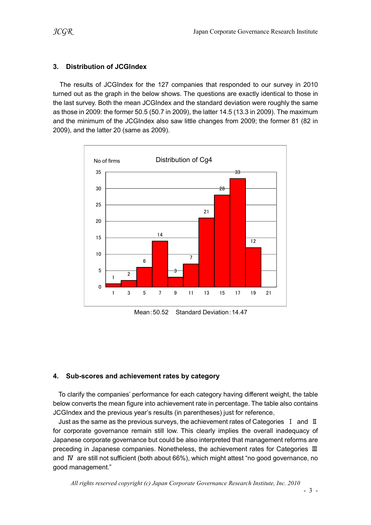## 3. Distribution of JCGIndex

The results of JCGIndex for the 127 companies that responded to our survey in 2010 turned out as the graph in the below shows. The questions are exactly identical to those in the last survey. Both the mean JCGIndex and the standard deviation were roughly the same as those in 2009: the former 50.5 (50.7 in 2009), the latter 14.5 (13.3 in 2009). The maximum and the minimum of the JCGIndex also saw little changes from 2009; the former 81 (82 in 2009), and the latter 20 (same as 2009).



Mean:50.52 Standard Deviation:14.47

#### 4. Sub-scores and achievement rates by category

To clarify the companies' performance for each category having different weight, the table below converts the mean figure into achievement rate in percentage. The table also contains JCGIndex and the previous year's results (in parentheses) just for reference。

Just as the same as the previous surveys, the achievement rates of Categories  $I$  and  $II$ for corporate governance remain still low. This clearly implies the overall inadequacy of Japanese corporate governance but could be also interpreted that management reforms are preceding in Japanese companies. Nonetheless, the achievement rates for Categories Ⅲ and Ⅳ are still not sufficient (both about 66%), which might attest "no good governance, no good management."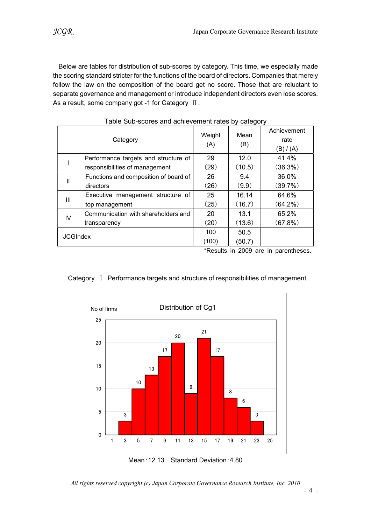Below are tables for distribution of sub-scores by category. This time, we especially made the scoring standard stricter for the functions of the board of directors. Companies that merely follow the law on the composition of the board get no score. Those that are reluctant to separate governance and management or introduce independent directors even lose scores. As a result, some company got -1 for Category  $\text{II}$ .

| Category        |                                                                                | Weight<br>(A) | Mean<br>(B) | Achievement                          |  |  |  |
|-----------------|--------------------------------------------------------------------------------|---------------|-------------|--------------------------------------|--|--|--|
|                 |                                                                                |               |             | rate                                 |  |  |  |
|                 |                                                                                |               |             | (B)/ (A)                             |  |  |  |
|                 | Performance targets and structure of                                           | 29            | 12.0        | 41.4%                                |  |  |  |
|                 | responsibilities of management                                                 | (29)          | (10.5)      | (36.3%)                              |  |  |  |
| $\mathbf{  }$   | Functions and composition of board of                                          | 26            | 9.4         | 36.0%                                |  |  |  |
|                 | directors                                                                      | (26)          | (9.9)       | (39.7%)                              |  |  |  |
|                 | Executive management structure of                                              | 25            | 16.14       | 64.6%                                |  |  |  |
| Ш               | top management                                                                 | (25)          | (16.7)      | $(64.2\%)$                           |  |  |  |
| $\mathsf{IV}$   | Communication with shareholders and                                            | 20            | 13.1        | 65.2%                                |  |  |  |
|                 | transparency                                                                   | (20)          | (13.6)      | (67.8%)                              |  |  |  |
| <b>JCGIndex</b> |                                                                                | 100           | 50.5        |                                      |  |  |  |
|                 |                                                                                | (100)         | (50.7)      |                                      |  |  |  |
|                 |                                                                                |               |             | *Results in 2009 are in parentheses. |  |  |  |
|                 |                                                                                |               |             |                                      |  |  |  |
|                 |                                                                                |               |             |                                      |  |  |  |
|                 | Category I Performance targets and structure of responsibilities of management |               |             |                                      |  |  |  |
|                 |                                                                                |               |             |                                      |  |  |  |
|                 |                                                                                |               |             |                                      |  |  |  |
|                 | Distribution of Cg1<br>No of firms                                             |               |             |                                      |  |  |  |
|                 | 25                                                                             |               |             |                                      |  |  |  |
|                 |                                                                                |               |             |                                      |  |  |  |
|                 | 20                                                                             | 21            |             |                                      |  |  |  |
|                 | 20                                                                             |               |             |                                      |  |  |  |
|                 |                                                                                |               |             |                                      |  |  |  |

| Table Sub-scores and achievement rates by category |
|----------------------------------------------------|
|----------------------------------------------------|

# 3 10 13 17 20 9 21 17 8 6 3  $0\frac{1}{1}$ 5 10 15 20 25 **1 3 5 7 9 11 13 15 17 19 21 23 25**

#### Category Ⅰ Performance targets and structure of responsibilities of management

- 4 -

Mean:12.13 Standard Deviation:4.80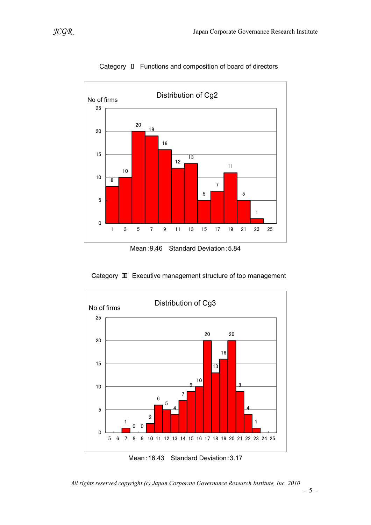

Category Ⅱ Functions and composition of board of directors

Mean:9.46 Standard Deviation:5.84

Category Ⅲ Executive management structure of top management



Mean:16.43 Standard Deviation:3.17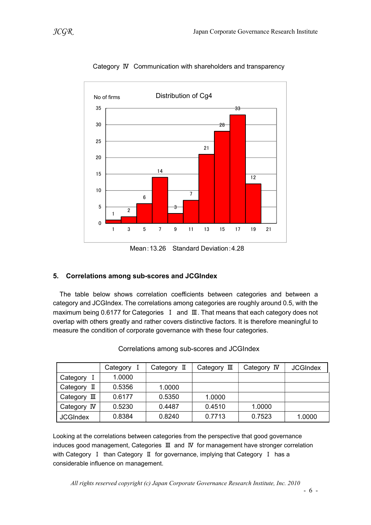

Category Ⅳ Communication with shareholders and transparency

Mean:13.26 Standard Deviation:4.28

# 5. Correlations among sub-scores and JCGIndex

The table below shows correlation coefficients between categories and between a category and JCGIndex. The correlations among categories are roughly around 0.5, with the maximum being 0.6177 for Categories I and Ⅲ. That means that each category does not overlap with others greatly and rather covers distinctive factors. It is therefore meaningful to measure the condition of corporate governance with these four categories.

|                 | Category | Category II | Category III | Category IV | <b>JCGIndex</b> |
|-----------------|----------|-------------|--------------|-------------|-----------------|
| Category        | 1.0000   |             |              |             |                 |
| Category<br>П   | 0.5356   | 1.0000      |              |             |                 |
| Category<br>Ш   | 0.6177   | 0.5350      | 1.0000       |             |                 |
| Category IV     | 0.5230   | 0.4487      | 0.4510       | 1.0000      |                 |
| <b>JCGIndex</b> | 0.8384   | 0.8240      | 0.7713       | 0.7523      | 1.0000          |

Correlations among sub-scores and JCGIndex

Looking at the correlations between categories from the perspective that good governance induces good management, Categories Ⅲ and Ⅳ for management have stronger correlation with Category Ⅰ than Category Ⅱ for governance, implying that Category Ⅰ has a considerable influence on management.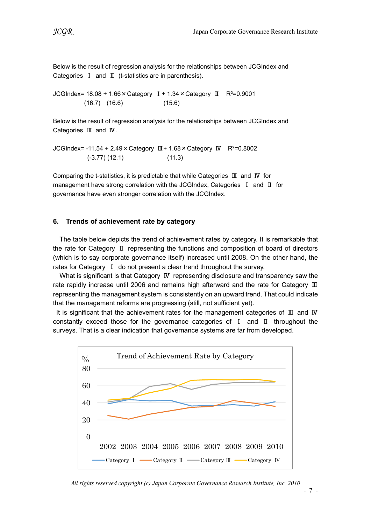Below is the result of regression analysis for the relationships between JCGIndex and Categories Ⅰ and Ⅱ (t-statistics are in parenthesis).

JCGIndex= 18.08 + 1.66×Category Ⅰ+ 1.34×Category Ⅱ R²=0.9001 (16.7) (16.6) (15.6)

Below is the result of regression analysis for the relationships between JCGIndex and Categories Ⅲ and Ⅳ.

JCGIndex= -11.54 + 2.49×Category Ⅲ+ 1.68×Category Ⅳ R²=0.8002 (-3.77) (12.1) (11.3)

Comparing the t-statistics, it is predictable that while Categories Ⅲ and Ⅳ for management have strong correlation with the JCGIndex, Categories Ⅰ and Ⅱ for governance have even stronger correlation with the JCGIndex.

#### 6. Trends of achievement rate by category

The table below depicts the trend of achievement rates by category. It is remarkable that the rate for Category Ⅱ representing the functions and composition of board of directors (which is to say corporate governance itself) increased until 2008. On the other hand, the rates for Category I do not present a clear trend throughout the survey.

What is significant is that Category IV representing disclosure and transparency saw the rate rapidly increase until 2006 and remains high afterward and the rate for Category Ⅲ representing the management system is consistently on an upward trend. That could indicate that the management reforms are progressing (still, not sufficient yet).

It is significant that the achievement rates for the management categories of Ⅲ and Ⅳ constantly exceed those for the governance categories of Ⅰ and Ⅱ throughout the surveys. That is a clear indication that governance systems are far from developed.

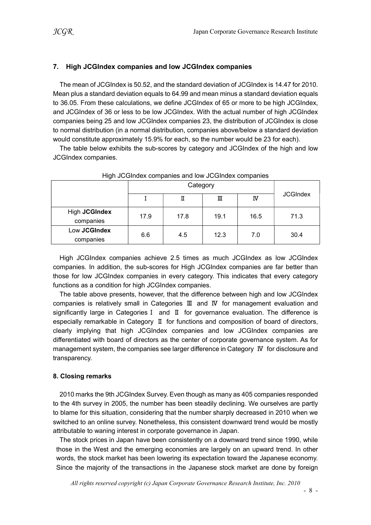## 7. High JCGIndex companies and low JCGIndex companies

The mean of JCGIndex is 50.52, and the standard deviation of JCGIndex is 14.47 for 2010. Mean plus a standard deviation equals to 64.99 and mean minus a standard deviation equals to 36.05. From these calculations, we define JCGIndex of 65 or more to be high JCGIndex, and JCGIndex of 36 or less to be low JCGIndex. With the actual number of high JCGIndex companies being 25 and low JCGIndex companies 23, the distribution of JCGIndex is close to normal distribution (in a normal distribution, companies above/below a standard deviation would constitute approximately 15.9% for each, so the number would be 23 for each).

The table below exhibits the sub-scores by category and JCGIndex of the high and low JCGIndex companies.

|                            |      | П    | Ш    | IV   | <b>JCGIndex</b> |  |  |  |
|----------------------------|------|------|------|------|-----------------|--|--|--|
| High JCGIndex<br>companies | 17.9 | 17.8 | 19.1 | 16.5 | 71.3            |  |  |  |
| Low JCGIndex<br>companies  | 6.6  | 4.5  | 12.3 | 7.0  | 30.4            |  |  |  |

High JCGIndex companies and low JCGIndex companies

High JCGIndex companies achieve 2.5 times as much JCGIndex as low JCGIndex companies. In addition, the sub-scores for High JCGIndex companies are far better than those for low JCGIndex companies in every category. This indicates that every category functions as a condition for high JCGIndex companies.

The table above presents, however, that the difference between high and low JCGIndex companies is relatively small in Categories Ⅲ and Ⅳ for management evaluation and significantly large in CategoriesⅠ and Ⅱ for governance evaluation. The difference is especially remarkable in Category Ⅱ for functions and composition of board of directors, clearly implying that high JCGIndex companies and low JCGIndex companies are differentiated with board of directors as the center of corporate governance system. As for management system, the companies see larger difference in Category Ⅳ for disclosure and transparency.

#### 8. Closing remarks

2010 marks the 9th JCGIndex Survey. Even though as many as 405 companies responded to the 4th survey in 2005, the number has been steadily declining. We ourselves are partly to blame for this situation, considering that the number sharply decreased in 2010 when we switched to an online survey. Nonetheless, this consistent downward trend would be mostly attributable to waning interest in corporate governance in Japan.

The stock prices in Japan have been consistently on a downward trend since 1990, while those in the West and the emerging economies are largely on an upward trend. In other words, the stock market has been lowering its expectation toward the Japanese economy. Since the majority of the transactions in the Japanese stock market are done by foreign